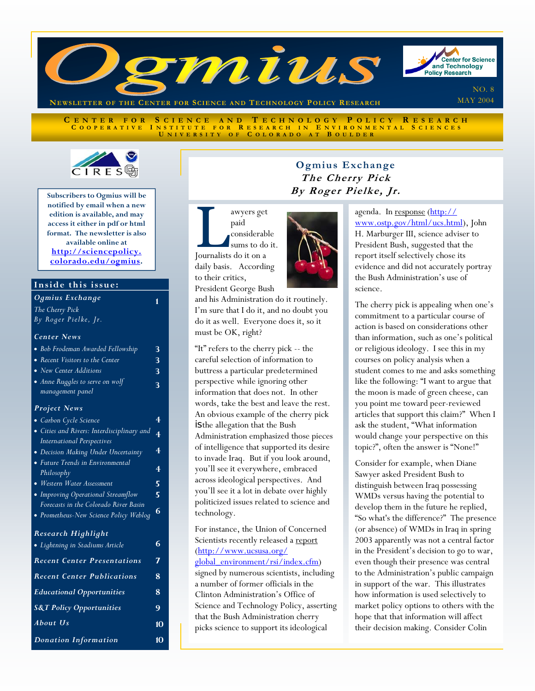

CENTER FOR SCIENCE AND TECHNOLOGY POLICY RESEARCH COOPERATIVE INSTITUTE FOR RESEARCH IN ENVIRONMENTAL SCIENCES **U NIVERSITY O F C OLORADO A T B OULDER**



**Subscribers to Ogmius will be notified by email when a new edition is available, and may access it either in pdf or html format. The newsletter is also available online at http://sciencepolicy. [colorado.edu/ogmius.](http://sciencepolicy.colorado.edu/ogmius)** 

### Inside this issue:

| Ogmius Exchange                            | 1                       |
|--------------------------------------------|-------------------------|
| The Cherry Pick                            |                         |
| By Roger Pielke, Jr.                       |                         |
| <b>Center News</b>                         |                         |
| · Bob Frodeman Awarded Fellowship          | 3                       |
| • Recent Visitors to the Center            | 3                       |
| • New Center Additions                     | 3                       |
| • Anne Ruggles to serve on wolf            | 3                       |
| management panel                           |                         |
| <b>Project News</b>                        |                         |
| · Carbon Cycle Science                     | 4                       |
| • Cities and Rivers: Interdisciplinary and | $\overline{4}$          |
| International Perspectives                 |                         |
| • Decision Making Under Uncertainty        | 4                       |
| • Future Trends in Environmental           | $\overline{\mathbf{4}}$ |
| Philosophy                                 |                         |
| • Western Water Assessment                 | 5                       |
| • Improving Operational Streamflow         | 5                       |
| Forecasts in the Colorado River Basin      | 6                       |
| • Prometheus-New Science Policy Weblog     |                         |
| <b>Research Highlight</b>                  |                         |
| · Lightning in Stadiums Article            | 6                       |
| <b>Recent Center Presentations</b>         | 7                       |
| <b>Recent Center Publications</b>          | 8                       |
| <b>Educational Opportunities</b>           | 8                       |
| <b>S&amp;T Policy Opportunities</b>        | 9                       |
| About Us                                   | 10                      |
| <b>Donation Information</b>                | 10                      |

# **Ogmius Exchange The Cherry Pick By Roger Pielke, Jr.**



and his Administration do it routinely. I'm sure that I do it, and no doubt you do it as well. Everyone does it, so it must be OK, right?

paid

to their critics,

"It" refers to the cherry pick -- the careful selection of information to buttress a particular predetermined perspective while ignoring other information that does not. In other words, take the best and leave the rest. An obvious example of the cherry pick is the allegation that the Bush Administration emphasized those pieces of intelligence that supported its desire to invade Iraq. But if you look around, you'll see it everywhere, embraced across ideological perspectives. And you'll see it a lot in debate over highly politicized issues related to science and technology.

For instance, the Union of Concerned Scientists recently released a report (http://www.ucsusa.org/ [global\\_environment/rsi/index.cfm\)](http://www.ucsusa.org/global_environment/rsi/index.cfm)  signed by numerous scientists, including a number of former officials in the Clinton Administration's Office of Science and Technology Policy, asserting that the Bush Administration cherry picks science to support its ideological

agenda. In response (http:// [www.ostp.gov/html/ucs.html\), J](http://www.ostp.gov/html/ucs.html)ohn H. Marburger III, science adviser to President Bush, suggested that the report itself selectively chose its evidence and did not accurately portray the Bush Administration's use of science.

The cherry pick is appealing when one's commitment to a particular course of action is based on considerations other than information, such as one's political or religious ideology. I see this in my courses on policy analysis when a student comes to me and asks something like the following: "I want to argue that the moon is made of green cheese, can you point me toward peer-reviewed articles that support this claim?" When I ask the student, "What information would change your perspective on this topic?", often the answer is "None!"

Consider for example, when Diane Sawyer asked President Bush to distinguish between Iraq possessing WMDs versus having the potential to develop them in the future he replied, "So what's the difference?" The presence (or absence) of WMDs in Iraq in spring 2003 apparently was not a central factor in the President's decision to go to war, even though their presence was central to the Administration's public campaign in support of the war. This illustrates how information is used selectively to market policy options to others with the hope that that information will affect their decision making. Consider Colin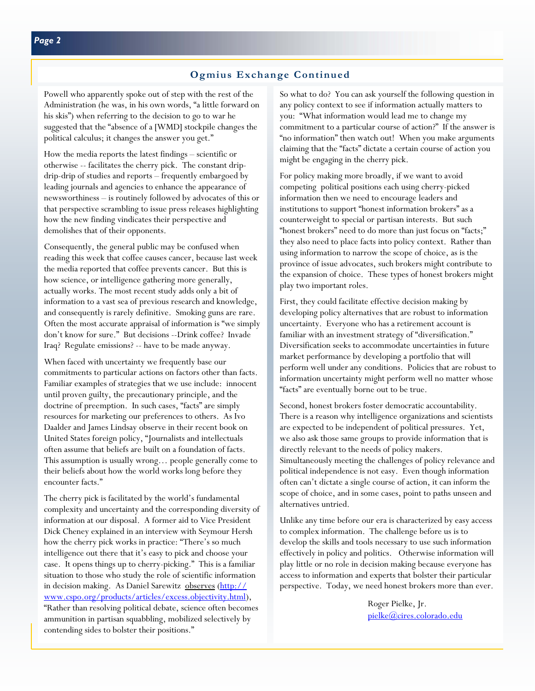Powell who apparently spoke out of step with the rest of the Administration (he was, in his own words, "a little forward on his skis") when referring to the decision to go to war he suggested that the "absence of a [WMD] stockpile changes the political calculus; it changes the answer you get."

How the media reports the latest findings – scientific or otherwise -- facilitates the cherry pick. The constant dripdrip-drip of studies and reports – frequently embargoed by leading journals and agencies to enhance the appearance of newsworthiness – is routinely followed by advocates of this or that perspective scrambling to issue press releases highlighting how the new finding vindicates their perspective and demolishes that of their opponents.

Consequently, the general public may be confused when reading this week that coffee causes cancer, because last week the media reported that coffee prevents cancer. But this is how science, or intelligence gathering more generally, actually works. The most recent study adds only a bit of information to a vast sea of previous research and knowledge, and consequently is rarely definitive. Smoking guns are rare. Often the most accurate appraisal of information is "we simply don't know for sure." But decisions --Drink coffee? Invade Iraq? Regulate emissions? -- have to be made anyway.

When faced with uncertainty we frequently base our commitments to particular actions on factors other than facts. Familiar examples of strategies that we use include: innocent until proven guilty, the precautionary principle, and the doctrine of preemption. In such cases, "facts" are simply resources for marketing our preferences to others. As Ivo Daalder and James Lindsay observe in their recent book on United States foreign policy, "Journalists and intellectuals often assume that beliefs are built on a foundation of facts. This assumption is usually wrong… people generally come to their beliefs about how the world works long before they encounter facts."

The cherry pick is facilitated by the world's fundamental complexity and uncertainty and the corresponding diversity of information at our disposal. A former aid to Vice President Dick Cheney explained in an interview with Seymour Hersh how the cherry pick works in practice: "There's so much intelligence out there that it's easy to pick and choose your case. It opens things up to cherry-picking." This is a familiar situation to those who study the role of scientific information in decision making. As Daniel Sarewitz observes (http:// [www.cspo.org/products/articles/excess.objectivity.html\),](http://www.cspo.org/products/articles/excess.objectivity.html)  "Rather than resolving political debate, science often becomes ammunition in partisan squabbling, mobilized selectively by contending sides to bolster their positions."

So what to do? You can ask yourself the following question in any policy context to see if information actually matters to you: "What information would lead me to change my commitment to a particular course of action?" If the answer is "no information" then watch out! When you make arguments claiming that the "facts" dictate a certain course of action you might be engaging in the cherry pick.

For policy making more broadly, if we want to avoid competing political positions each using cherry-picked information then we need to encourage leaders and institutions to support "honest information brokers" as a counterweight to special or partisan interests. But such "honest brokers" need to do more than just focus on "facts;" they also need to place facts into policy context. Rather than using information to narrow the scope of choice, as is the province of issue advocates, such brokers might contribute to the expansion of choice. These types of honest brokers might play two important roles.

First, they could facilitate effective decision making by developing policy alternatives that are robust to information uncertainty. Everyone who has a retirement account is familiar with an investment strategy of "diversification." Diversification seeks to accommodate uncertainties in future market performance by developing a portfolio that will perform well under any conditions. Policies that are robust to information uncertainty might perform well no matter whose "facts" are eventually borne out to be true.

Second, honest brokers foster democratic accountability. There is a reason why intelligence organizations and scientists are expected to be independent of political pressures. Yet, we also ask those same groups to provide information that is directly relevant to the needs of policy makers. Simultaneously meeting the challenges of policy relevance and political independence is not easy. Even though information often can't dictate a single course of action, it can inform the scope of choice, and in some cases, point to paths unseen and alternatives untried.

Unlike any time before our era is characterized by easy access to complex information. The challenge before us is to develop the skills and tools necessary to use such information effectively in policy and politics. Otherwise information will play little or no role in decision making because everyone has access to information and experts that bolster their particular perspective. Today, we need honest brokers more than ever.

> Roger Pielke, Jr. [pielke@cires.colorado.edu](mailto: pielke@cires.colorado.edu)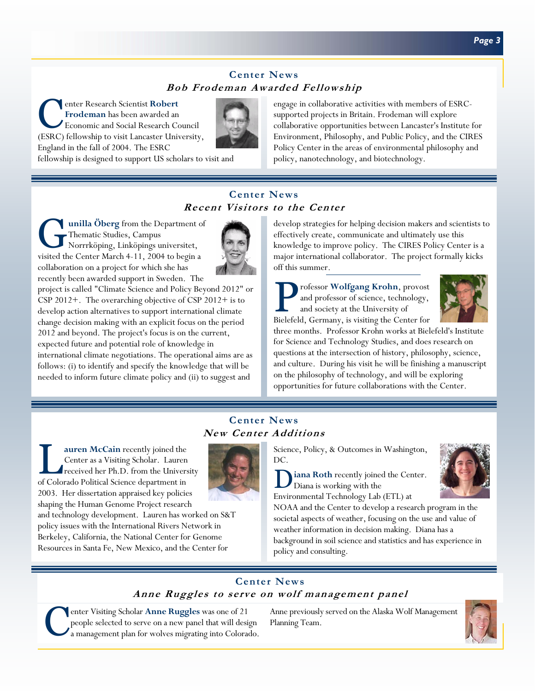# **Center News Bob Frodeman Awarded Fellowship**

**C** enter Research Scientist Robert<br> **Economic and Social Research Council**<br> **ECONOMIC AND RESEARCH Frodeman** has been awarded an (ESRC) fellowship to visit Lancaster University, England in the fall of 2004. The ESRC

fellowship is designed to support US scholars to visit and



engage in collaborative activities with members of ESRCsupported projects in Britain. Frodeman will explore collaborative opportunities between Lancaster's Institute for Environment, Philosophy, and Public Policy, and the CIRES Policy Center in the areas of environmental philosophy and policy, nanotechnology, and biotechnology.

# **Center News Recent Visitors to the Center**

unilla Öberg from the Department of Thematic Studies, Campus Norrrköping, Linköpings universitet, visited the Center March 4-11, 2004 to begin a collaboration on a project for which she has



recently been awarded support in Sweden. The project is called "Climate Science and Policy Beyond 2012" or CSP 2012+. The overarching objective of CSP 2012+ is to develop action alternatives to support international climate change decision making with an explicit focus on the period 2012 and beyond. The project's focus is on the current, expected future and potential role of knowledge in international climate negotiations. The operational aims are as follows: (i) to identify and specify the knowledge that will be needed to inform future climate policy and (ii) to suggest and

develop strategies for helping decision makers and scientists to effectively create, communicate and ultimately use this knowledge to improve policy. The CIRES Policy Center is a major international collaborator. The project formally kicks off this summer.

P rofessor **Wolfgang Krohn**, provost and professor of science, technology, and society at the University of Bielefeld, Germany, is visiting the Center for



three months. Professor Krohn works at Bielefeld's Institute for Science and Technology Studies, and does research on questions at the intersection of history, philosophy, science, and culture. During his visit he will be finishing a manuscript on the philosophy of technology, and will be exploring opportunities for future collaborations with the Center.

# **Center News New Center Additions**

**Lauren McCain recently joined the**<br>Center as a Visiting Scholar. Lauren<br>received her Ph.D. from the Universe Center as a Visiting Scholar. Lauren received her Ph.D. from the University of Colorado Political Science department in 2003. Her dissertation appraised key policies shaping the Human Genome Project research

and technology development. Lauren has worked on S&T policy issues with the International Rivers Network in Berkeley, California, the National Center for Genome Resources in Santa Fe, New Mexico, and the Center for



Science, Policy, & Outcomes in Washington, DC.

iana Roth recently joined the Center. Diana is working with the Environmental Technology Lab (ETL) at



NOAA and the Center to develop a research program in the societal aspects of weather, focusing on the use and value of weather information in decision making. Diana has a background in soil science and statistics and has experience in policy and consulting.

# **Center News**

# **Anne Ruggles to serve on wolf management panel**

**C** enter Visiting Scholar **Anne Ruggles** was one of 21 people selected to serve on a new panel that will designal a management plan for wolves migrating into Colorad people selected to serve on a new panel that will design a management plan for wolves migrating into Colorado.

Anne previously served on the Alaska Wolf Management Planning Team.

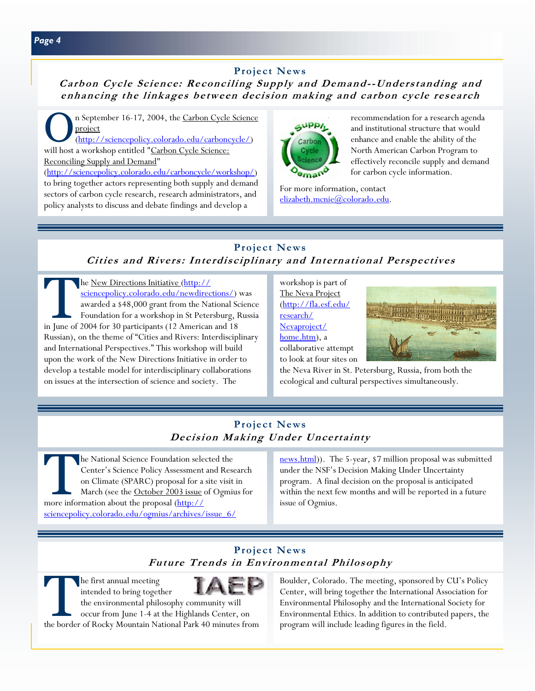# **Project News**

**Carbon Cycle Science: Reconciling Supply and Demand--Understanding and enhancing the linkages between decision making and carbon cycle research** 

n September 16-17, 2004, the <u>Carbon Cycle Science</u><br>
(http://sciencepolicy.colorado.edu/carboncycle/) project will host a workshop entitled "Carbon Cycle Science: Reconciling Supply and Demand" [\(http://sciencepolicy.colorado.edu/carboncycle/workshop/\)](http://sciencepolicy.colorado.edu/carboncycle/workshop/) 

to bring together actors representing both supply and demand sectors of carbon cycle research, research administrators, and policy analysts to discuss and debate findings and develop a



recommendation for a research agenda and institutional structure that would enhance and enable the ability of the North American Carbon Program to effectively reconcile supply and demand for carbon cycle information.

For more information, contact [elizabeth.mcnie@colorado.edu.](mailto: elizabeth.mcnie@colorado.edu) 

# **Project News Cities and Rivers: Interdisciplinary and International Perspectives**

The New Directions Initiative (http://<br>
sciencepolicy.colorado.edu/newdirec<br>
awarded a \$48,000 grant from the Na<br>
Foundation for a workshop in St Pete<br>
in Iune of 2004 for 30 participants (12 American [sciencepolicy.colorado.edu/newdirections/\) w](http://sciencepolicy.colorado.edu/newdirections/)as awarded a \$48,000 grant from the National Science Foundation for a workshop in St Petersburg, Russia in June of 2004 for 30 participants (12 American and 18 Russian), on the theme of "Cities and Rivers: Interdisciplinary and International Perspectives." This workshop will build upon the work of the New Directions Initiative in order to develop a testable model for interdisciplinary collaborations on issues at the intersection of science and society. The

workshop is part of The Neva Project [\(http://fla.esf.edu/](http://fla.esf.edu/research/Nevaproject/home.htm) research/ Nevaproject/ home.htm), a collaborative attempt to look at four sites on



the Neva River in St. Petersburg, Russia, from both the ecological and cultural perspectives simultaneously.

# **Project News Decision Making Under Uncertainty**

The National Science Foundation selected the<br>Center's Science Policy Assessment and Rese<br>on Climate (SPARC) proposal for a site visit<br>March (see the <u>October 2003 issue</u> of Ogmiu<br>more information about the proposal (http:/ Center's Science Policy Assessment and Research on Climate (SPARC) proposal for a site visit in March (see the October 2003 issue of Ogmius for more information about the proposal (http:// [sciencepolicy.colorado.edu/ogmius/archives/issue\\_6/](http://sciencepolicy.colorado.edu/ogmius/archives/issue_6/news.html)

[news.html\)\).](http://sciencepolicy.colorado.edu/ogmius/archives/issue_6/news.html) The 5-year, \$7 million proposal was submitted under the NSF's Decision Making Under Uncertainty program. A final decision on the proposal is anticipated within the next few months and will be reported in a future issue of Ogmius.

# **Project News Future Trends in Environmental Philosophy**

The first annual meeting<br>
intended to bring together<br>
the environmental philosophy community will<br>
occur from June 1-4 at the Highlands Center, on<br>
the border of Rocky Mountain National Park 40 minutes from intended to bring together the environmental philosophy community will occur from June 1-4 at the Highlands Center, on

Boulder, Colorado. The meeting, sponsored by CU's Policy Center, will bring together the International Association for Environmental Philosophy and the International Society for Environmental Ethics. In addition to contributed papers, the program will include leading figures in the field.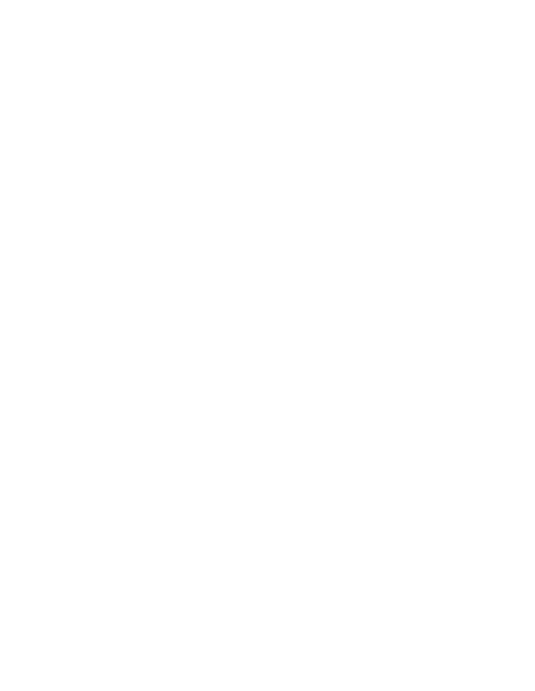# CENTER FOR SCIENCE AND TECHNOLOGY POLICY RESEARCH<br>COOPERATIVE INSTITUTE FOR RESEARCH IN ENVIRONMENTAL SCIENCES<br>UNIVERSITY OF COLORADO AT BOULDER

| Subscribers to Ogmius will be   |
|---------------------------------|
| notified by email when a new    |
| edition is available, and may   |
| access it either in pdf or html |
| format. The newsletter is also  |
| available online at             |
| http://sciencepolicy.           |
| colorado.edu/ogmius.            |
|                                 |

### Inside this issue:

| Ogmius Exchange<br>The Cherry Pick<br>By Roger Pielke, Jr.                                                                                                                                                                                                                                                                                           | 1                             |
|------------------------------------------------------------------------------------------------------------------------------------------------------------------------------------------------------------------------------------------------------------------------------------------------------------------------------------------------------|-------------------------------|
| <b>Center News</b><br>x Bob Frodeman Awarded Felle 3<br>x Recent Visitors to the Center 3<br>xNew Center Additions<br>x Anne Ruggles to serve on wo<br>management panel                                                                                                                                                                              | 3<br>$\overline{3}$           |
| <b>Project News</b><br>x Carbon Cycle Science<br>x Cities and Rivers: Interdiscipl<br><b>International Perspectives</b><br>x Decision Making Under Unce 4<br>xFuture Trends in Environmen<br>Philosophy<br>xWestern Water Assessment<br>x Improving Operational Strean 5<br>Forecasts in the Colorado Riv<br>xPrometheus-New Science Pc <sup>6</sup> | 4<br>$\overline{A}$<br>4<br>5 |
| <b>Research Highlight</b><br>x Lightning ina&tums Article                                                                                                                                                                                                                                                                                            | 6                             |
| <b>Recent Center Presentation</b>                                                                                                                                                                                                                                                                                                                    | 7                             |
| <b>Recent Center Publications</b>                                                                                                                                                                                                                                                                                                                    | 8                             |
| <b>Educational Opportunities</b>                                                                                                                                                                                                                                                                                                                     | 8                             |
| <b>S&amp;T Policy Opportunities</b>                                                                                                                                                                                                                                                                                                                  | 9                             |
| About Us                                                                                                                                                                                                                                                                                                                                             | 10                            |
| <b>Donation Information</b>                                                                                                                                                                                                                                                                                                                          | 10                            |

awyers get paid considerable sums to do it. Journalists do it on a daily basis. According to their critics. **President George Bush** and his Administration do it routinely I'm sure that I do it, and no doubt yo do it as well. Everyone does it, so it must be OK, right?

"It" refers to the cherry pick -- the careful selection of information to buttress a particular predetermined perspective while ignoring other information that does not. In other words, take the best and leave the re An obvious example of the cherry piis the allegation that the Bush of intelligence that supported its des to invade Iraq. But if you look aroun you'll see it everywhere, embraced across ideological perspectives. An you'll see it a lot in debate over high! politicized issues related to science technology.

For instance, the Union of Concerne Scientists recently released a report (http://www.ucsusa.org/ global environment/rsi/index.)cfm signed by numerous scientists, inclu a number of former officials in the Clinton Administration's Office of Science and Technology Policy, ass that the Bush Administration cherry picks science to support its ideologic their decision making. Consider Colin

Ogmius Exchange The Cherry Pick By Roger Pielke, Jr.

> agenda. In responste:// www.ostp.gov/html/ucs.htmlJohn H. Marburger III, science adviser to President Bush, suggested that the report itself selectively chose its evidence and did not accurately portray the Bush Administration's use of science.

The cherry pick is appealing when one's commitment to a particular course of action is based on considerations other than information, such as one's political or religious ideology. I see this in my courses on policy analysis when a student comes to me and asks something like the following: "I want to argue that the moon is made of green cheese, can you point me toward peer-reviewed articles that support this claim?" When I ask the student, "What information Administration emphasized those pic would change your perspective on this topic?", often the answer is "None!"

> Consider for example, when Diane Sawyer asked President Bush to distinguish between Iraq possessing WMDs versus having the potential to develop them in the future he replied, "So what's the difference?" The presence (or absence) of WMDs in Iraq in spring 2003 apparently was not a central factor in the President's decision to go to war, even though their presence was central to the Administration's public campaign in support of the war. This illustrates how information is used selectively to market policy options to others with the hope that that information will affect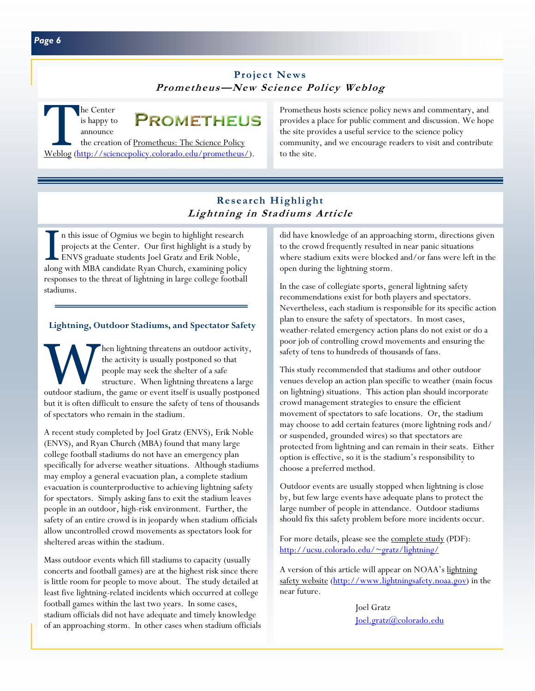# **Project News Prometheus—New Science Policy Weblog**

The Center<br>
is happy to<br>
amounce<br>
the creation of <u>Prometheus: The Science Policy</u><br>
Weblog (http://sciencepolicy.colorado.edu/prometheus/). **PROMETHEUS** is happy to announce the creation of Prometheus: The Science Policy

Prometheus hosts science policy news and commentary, and provides a place for public comment and discussion. We hope the site provides a useful service to the science policy community, and we encourage readers to visit and contribute to the site.

# **Research Highlight Lightning in Stadiums Article**

I n this issue of Ogmius we begin to highlight research<br>projects at the Center. Our first highlight is a study b<br>ENVS graduate students Joel Gratz and Erik Noble, projects at the Center. Our first highlight is a study by ENVS graduate students Joel Gratz and Erik Noble, along with MBA candidate Ryan Church, examining policy responses to the threat of lightning in large college football stadiums.

### **Lightning, Outdoor Stadiums, and Spectator Safety**

hen lightning threatens an outdoor activity, the activity is usually postponed so that people may seek the shelter of a safe structure. When lightning threatens a large outdoor stadium, the game or event itself is usually postponed but it is often difficult to ensure the safety of tens of thousands of spectators who remain in the stadium.

A recent study completed by Joel Gratz (ENVS), Erik Noble (ENVS), and Ryan Church (MBA) found that many large college football stadiums do not have an emergency plan specifically for adverse weather situations. Although stadiums may employ a general evacuation plan, a complete stadium evacuation is counterproductive to achieving lightning safety for spectators. Simply asking fans to exit the stadium leaves people in an outdoor, high-risk environment. Further, the safety of an entire crowd is in jeopardy when stadium officials allow uncontrolled crowd movements as spectators look for sheltered areas within the stadium.

Mass outdoor events which fill stadiums to capacity (usually concerts and football games) are at the highest risk since there is little room for people to move about. The study detailed at least five lightning-related incidents which occurred at college football games within the last two years. In some cases, stadium officials did not have adequate and timely knowledge of an approaching storm. In other cases when stadium officials did have knowledge of an approaching storm, directions given to the crowd frequently resulted in near panic situations where stadium exits were blocked and/or fans were left in the open during the lightning storm.

In the case of collegiate sports, general lightning safety recommendations exist for both players and spectators. Nevertheless, each stadium is responsible for its specific action plan to ensure the safety of spectators. In most cases, weather-related emergency action plans do not exist or do a poor job of controlling crowd movements and ensuring the safety of tens to hundreds of thousands of fans.

This study recommended that stadiums and other outdoor venues develop an action plan specific to weather (main focus on lightning) situations. This action plan should incorporate crowd management strategies to ensure the efficient movement of spectators to safe locations. Or, the stadium may choose to add certain features (more lightning rods and/ or suspended, grounded wires) so that spectators are protected from lightning and can remain in their seats. Either option is effective, so it is the stadium's responsibility to choose a preferred method.

Outdoor events are usually stopped when lightning is close by, but few large events have adequate plans to protect the large number of people in attendance. Outdoor stadiums should fix this safety problem before more incidents occur.

For more details, please see the **complete study** (PDF): http://ucsu.colorado.edu/~gratz/lightning/

A version of this article will appear on NOAA's lightning [safety website \(http://www.lightningsafety.noaa.gov\) in t](http://www.lightningsafety.noaa.gov)he near future.

> Joel Gratz [Joel.gratz@colorado.edu](mailto: Joel.gratz@colorado.edu)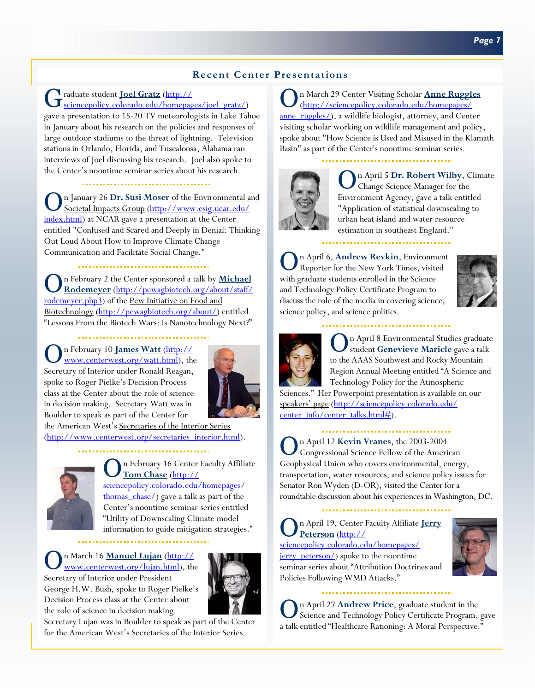# **Page**

### **Recent Center Presentations**

# $G$  raduate student **Joel Gratz** (http://<br>
<u>Sciencepolicy.colorado.edu/homepages/joel\_gratz/</u>)

gave a presentation to 15-20 TV meteorologists in Lake Tahoe in January about his research on the policies and responses of large outdoor stadiums to the threat of lightning. Television stations in Orlando, Florida, and Tuscaloosa, Alabama ran interviews of Joel discussing his research. Joel also spoke to the Center's noontime seminar series about his research.

O n January 26 **Dr. Susi Moser** of the Environmental and Societal Impacts Group (http://www.esig.ucar.edu/ index.html) at NCAR gave a presentation at the Center entitled "Confused and Scared and Deeply in Denial: Thinking Out Loud About How to Improve Climate Change Communication and Facilitate Social Change."

### 

O [n February 2 the Center sponsored a talk by](http://pewagbiotech.org/about/staff/rodemeyer.php3) **Michael Rodemeyer** (http://pewagbiotech.org/about/staff/ rodemeyer.php3) of the Pew Initiative on Food and [Biotechnology \(http://pewagbiotech.org/about/\) en](http://pewagbiotech.org/about/)titled "Lessons From the Biotech Wars: Is Nanotechnology Next?"

O n February 10 **James Watt** (http:// [www.centerwest.org/watt.html\), the](http://www.centerwest.org/watt.html) Secretary of Interior under Ronald Reagan, spoke to Roger Pielke's Decision Process class at the Center about the role of science in decision making. Secretary Watt was in Boulder to speak as part of the Center for



the American West's Secretaries of the Interior Series (http://www.centerwest.org/secretaries\_interior.html).

### ................................



O n February 16 Center Faculty Affiliate **Tom Chase** (http:// sciencepolicy.colorado.edu/homepages/ thomas\_chase/) gave a talk as part of the Center's noontime seminar series entitled "Utility of Downscaling Climate model information to guide mitigation strategies."

O n March 16 **Manuel Lujan** (http:// [www.centerwest.org/lujan.html\), the](http://www.centerwest.org/lujan.html)  Secretary of Interior under President George H.W. Bush, spoke to Roger Pielke's Decision Process class at the Center about the role of science in decision making.



Secretary Lujan was in Boulder to speak as part of the Center for the American West's Secretaries of the Interior Series.

O n March 29 Center Visiting Scholar **Anne Ruggles**  (http://sciencepolicy.colorado.edu/homepages/ anne\_ruggles/), a wildlife biologist, attorney, and Center visiting scholar working on wildlife management and policy, spoke about "How Science is Used and Misused in the Klamath Basin" as part of the Center's noontime seminar series.



O n April 5 **Dr. Robert Wilby**, Climate Change Science Manager for the Environment Agency, gave a talk entitled "Application of statistical downscaling to urban heat island and water resource estimation in southeast England."

### ......................................

O n April 6, **Andrew Revkin**, Environment Reporter for the New York Times, visited with graduate students enrolled in the Science and Technology Policy Certificate Program to discuss the role of the media in covering science, science policy, and science politics.



O n April 8 Environmental Studies graduate student **Genevieve Maricle** gave a talk to the AAAS Southwest and Rocky Mountain Region Annual Meeting entitled "A Science and Technology Policy for the Atmospheric

Sciences." Her Powerpoint presentation is available on our [speakers' page \(http://sciencepolicy.colorado.edu/](http://sciencepolicy.colorado.edu/center_info/center_talks.html#) center\_info/center\_talks.html#).

O n April 12 **Kevin Vranes**, the 2003-2004 Congressional Science Fellow of the American Geophysical Union who covers environmental, energy, transportation, water resources, and science policy issues for Senator Ron Wyden (D-OR), visited the Center for a roundtable discussion about his experiences in Washington, DC.

# O n April 19, Center Faculty Affiliate **Jerry Peterson** (http://

[sciencepolicy.colorado.edu/homepages/](http://sciencepolicy.colorado.edu/homepages/jerry_peterson/) jerry\_peterson/) spoke to the noontime seminar series about "Attribution Doctrines and Policies Following WMD Attacks."



O n April 27 **Andrew Price**, graduate student in the Science and Technology Policy Certificate Program, gave a talk entitled "Healthcare Rationing: A Moral Perspective."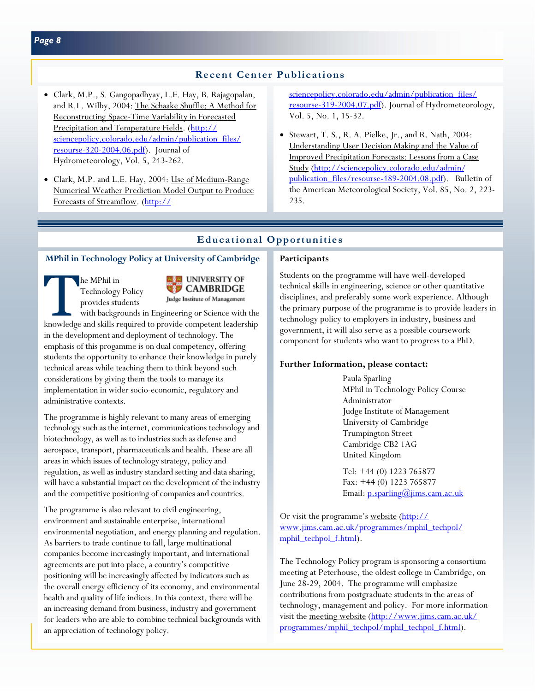## **Recent Center Publications**

- Clark, M.P., S. Gangopadhyay, L.E. Hay, B. Rajagopalan, [and R.L. Wilby, 2004: The Schaake Shuffle: A Method for](http://sciencepolicy.colorado.edu/admin/publication_files/resourse-320-2004.06.pdf)  Reconstructing Space-Time Variability in Forecasted Precipitation and Temperature Fields. (http:// sciencepolicy.colorado.edu/admin/publication\_files/ resourse-320-2004.06.pdf). Journal of Hydrometeorology, Vol. 5, 243-262.
- Clark, M.P. and L.E. Hay, 2004: Use of Medium-Range [Numerical Weather Prediction Model Output to Produce](http://sciencepolicy.colorado.edu/admin/publication_files/resourse-319-2004.07.pdf)  Forecasts of Streamflow. (http://

[sciencepolicy.colorado.edu/admin/publication\\_files/](http://sciencepolicy.colorado.edu/admin/publication_files/resourse-319-2004.07.pdf) resourse-319-2004.07.pdf). Journal of Hydrometeorology, Vol. 5, No. 1, 15-32.

• Stewart, T. S., R. A. Pielke, Jr., and R. Nath, 2004: Understanding User Decision Making and the Value of Improved Precipitation Forecasts: Lessons from a Case Study (http://sciencepolicy.colorado.edu/admin/ [publication\\_files/resourse-489-2004.08.pdf\). Bulletin](http://sciencepolicy.colorado.edu/admin/publication_files/resourse-489-2004.08.pdf) of the American Meteorological Society, Vol. 85, No. 2, 223- 235.

### **Educational Opportunities**

### **MPhil in Technology Policy at University of Cambridge**

The MPhil in Technology Policy<br>
Technology Policy<br>
provides students<br>
with backgrounds in Engineering or Science with the<br>
knowledge and skills required to provide competent leadership **E** UNIVERSITY OF **UP CAMBRIDGE** Technology Policy Judge Institute of Management provides students with backgrounds in Engineering or Science with the in the development and deployment of technology. The emphasis of this progamme is on dual competency, offering students the opportunity to enhance their knowledge in purely technical areas while teaching them to think beyond such considerations by giving them the tools to manage its implementation in wider socio-economic, regulatory and

administrative contexts. The programme is highly relevant to many areas of emerging technology such as the internet, communications technology and biotechnology, as well as to industries such as defense and aerospace, transport, pharmaceuticals and health. These are all

areas in which issues of technology strategy, policy and regulation, as well as industry standard setting and data sharing, will have a substantial impact on the development of the industry and the competitive positioning of companies and countries.

The programme is also relevant to civil engineering, environment and sustainable enterprise, international environmental negotiation, and energy planning and regulation. As barriers to trade continue to fall, large multinational companies become increasingly important, and international agreements are put into place, a country's competitive positioning will be increasingly affected by indicators such as the overall energy efficiency of its economy, and environmental health and quality of life indices. In this context, there will be an increasing demand from business, industry and government for leaders who are able to combine technical backgrounds with an appreciation of technology policy.

### **Participants**

Students on the programme will have well-developed technical skills in engineering, science or other quantitative disciplines, and preferably some work experience. Although the primary purpose of the programme is to provide leaders in technology policy to employers in industry, business and government, it will also serve as a possible coursework component for students who want to progress to a PhD.

### **Further Information, please contact:**

Paula Sparling MPhil in Technology Policy Course Administrator Judge Institute of Management University of Cambridge Trumpington Street Cambridge CB2 1AG United Kingdom

Tel: +44 (0) 1223 765877 Fax: +44 (0) 1223 765877 Email[: p.sparling@jims.cam.ac.uk](mailto: p.sparling@jims.cam.ac.uk)

Or visit the programme's website (http:// [www.jims.cam.ac.uk/programmes/mphil\\_techpol/](http://www.jims.cam.ac.uk/programmes/mphil_techpol/mphil_techpol_f.html) mphil\_techpol\_f.html).

The Technology Policy program is sponsoring a consortium meeting at Peterhouse, the oldest college in Cambridge, on June 28-29, 2004. The programme will emphasize contributions from postgraduate students in the areas of technology, management and policy. For more information [visit the meeting website \(http://www.jims.cam.ac.uk/](http://www.jims.cam.ac.uk/programmes/mphil_techpol/mphil_techpol_f.html) programmes/mphil\_techpol/mphil\_techpol\_f.html).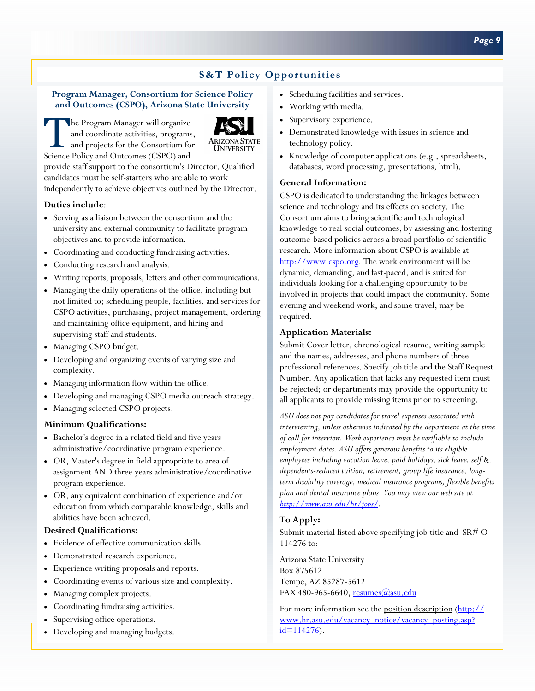# **S&T Policy Opportunities**

# **Program Manager, Consortium for Science Policy and Outcomes (CSPO), Arizona State University**

The Program Manager will organize<br>and coordinate activities, programs<br>and projects for the Consortium for<br>Science Policy and Outsomes (CSPO) and and coordinate activities, programs, and projects for the Consortium for Science Policy and Outcomes (CSPO) and



provide staff support to the consortium's Director. Qualified candidates must be self-starters who are able to work independently to achieve objectives outlined by the Director.

### **Duties include**:

- Serving as a liaison between the consortium and the university and external community to facilitate program objectives and to provide information.
- Coordinating and conducting fundraising activities.
- Conducting research and analysis.
- Writing reports, proposals, letters and other communications.
- Managing the daily operations of the office, including but not limited to; scheduling people, facilities, and services for CSPO activities, purchasing, project management, ordering and maintaining office equipment, and hiring and supervising staff and students.
- Managing CSPO budget.
- Developing and organizing events of varying size and complexity.
- Managing information flow within the office.
- Developing and managing CSPO media outreach strategy.
- Managing selected CSPO projects.

### **Minimum Qualifications:**

- Bachelor's degree in a related field and five years administrative/coordinative program experience.
- OR, Master's degree in field appropriate to area of assignment AND three years administrative/coordinative program experience.
- OR, any equivalent combination of experience and/or education from which comparable knowledge, skills and abilities have been achieved.

### **Desired Qualifications:**

- Evidence of effective communication skills.
- Demonstrated research experience.
- Experience writing proposals and reports.
- Coordinating events of various size and complexity.
- Managing complex projects.
- Coordinating fundraising activities.
- Supervising office operations.
- Developing and managing budgets.
- Scheduling facilities and services.
- Working with media.
- Supervisory experience.
- Demonstrated knowledge with issues in science and technology policy.
- Knowledge of computer applications (e.g., spreadsheets, databases, word processing, presentations, html).

### **General Information:**

CSPO is dedicated to understanding the linkages between science and technology and its effects on society. The Consortium aims to bring scientific and technological knowledge to real social outcomes, by assessing and fostering outcome-based policies across a broad portfolio of scientific research. More information about CSPO is available at [http://www.cspo.org. T](http://www.cspo.org)he work environment will be dynamic, demanding, and fast-paced, and is suited for individuals looking for a challenging opportunity to be involved in projects that could impact the community. Some evening and weekend work, and some travel, may be required.

### **Application Materials:**

Submit Cover letter, chronological resume, writing sample and the names, addresses, and phone numbers of three professional references. Specify job title and the Staff Request Number. Any application that lacks any requested item must be rejected; or departments may provide the opportunity to all applicants to provide missing items prior to screening.

*ASU does not pay candidates for travel expenses associated with interviewing, unless otherwise indicated by the department at the time of call for interview. Work experience must be verifiable to include employment dates. ASU offers generous benefits to its eligible employees including vacation leave, paid holidays, sick leave, self & dependents-reduced tuition, retirement, group life insurance, longterm disability coverage, medical insurance programs, flexible benefits plan and dental insurance plans. You may view our web site at [http://www.asu.edu/hr/jobs/.](http://www.asu.edu/hr/jobs/)* 

### **To Apply:**

Submit material listed above specifying job title and SR# O - 114276 to:

Arizona State University Box 875612 Tempe, AZ 85287-5612 FAX 480-965-6640, resumes@asu.edu

[For more information see the position description \(http://](http://www.hr.asu.edu/vacancy_notice/vacancy_posting.asp?id=114276) www.hr.asu.edu/vacancy\_notice/vacancy\_posting.asp?  $id=114276$ ).